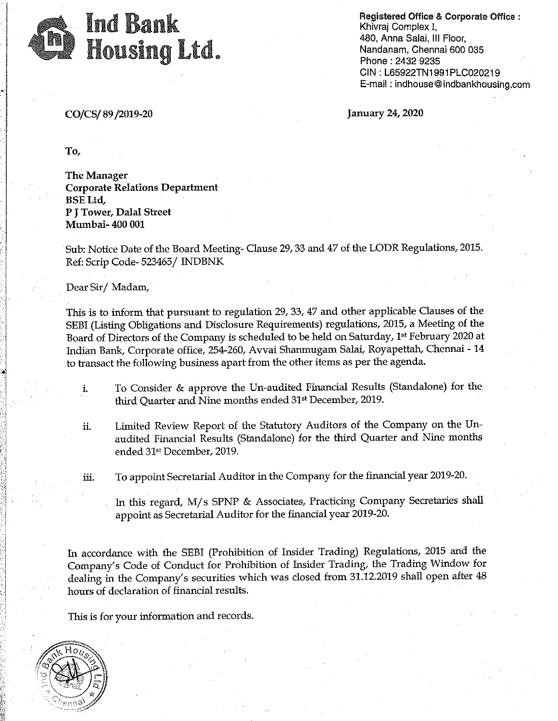

Registered Office & Corporate Office : Khivraj Complex I, 480, Anna Salai, Ill Floor, Nandanam, Chennai 600 035 Phone : 2432 9235 CIN : L65922TN1991 PLC020219 E-mail : indhouse@indbankhousing.com

CO/CS/ 89 /2019-20 January 24, 2020

To,

The Manager Corporate Relations Department BSE Ltd, P J Tower, Dalal Street Mumbai- 400 001

Sub: Notice Date of the Board Meeting- Clause 29, 33 and 47 of the LODR Regulations, 2015. Ref: Scrip Code- 523465 / INDBNK

Dear Sir/ Madam,

This is to inform that pursuant to regulation 29, 33, 47 and other applicable Clauses of the SEBI (Listing Obligations and Disclosure Requirements) regulations, 2015, a Meeting of the Board of Directors of the Company is scheduled to be held on Saturday, 1<sup>st</sup> February 2020 at Indian Bank, Corporate office, 254-260, Avvai Shanmugam Salai, Royapettah, Chennai -14 to transact the following business apart from the other items as per the agenda .

- i. To Consider & approve the Un-audited Financial Results (Standalone) for the third Quarter and Nine months ended 31<sup>st</sup> December, 2019.
- ii. Limited Review Report of the Statutory Auditors of the Company on the Unaudited Financial Results (Standalone) for the third Quarter and Nine months ended 31st December, 2019.

iii. To appoint Secretarial Auditor in the Company for the financial year 2019-20.

In this regard, M/ *s* SPNP & Associates, Practicing Company Secretaries shall appoint as Secretarial Auditor for the financial year 2019-20.

In accordance with the SEBI (Prohibition of Insider Trading) Regulations, 2015 and the Company's Code of Conduct for Prohibition of Insider Trading, the Trading Window for dealing in the Company's securities which was closed from 31.12.2019 shall open after 48 hours of declaration of financial results.

This is for your information and records.



 $\mathbb{S}^1_+$ ,;

 $\bullet$  $\beta$ ·· 1 :,:·l